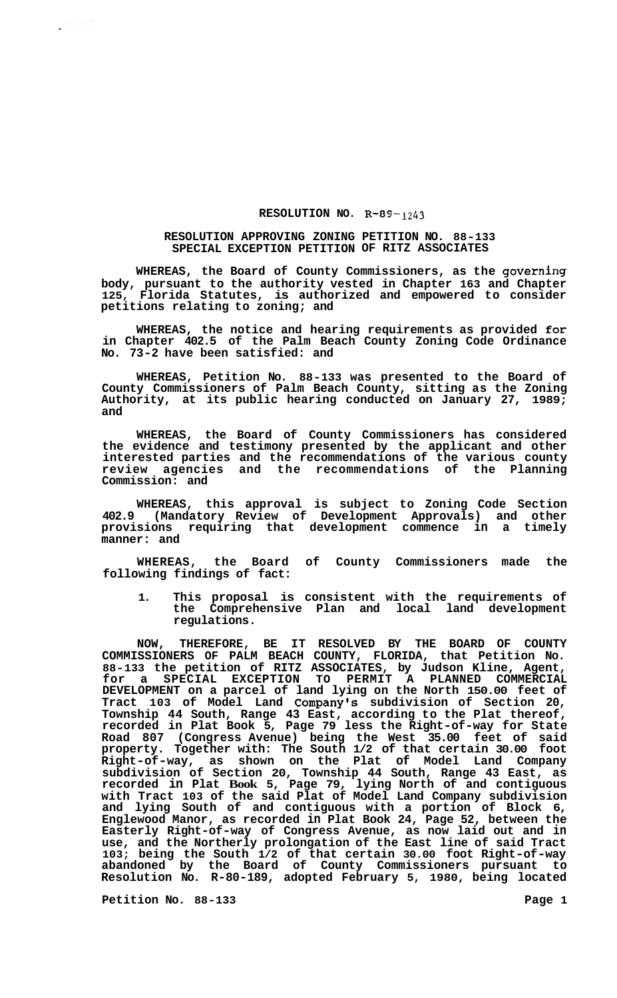## **RESOLUTION NO. R-89-** *1243*

## **RESOLUTION APPROVING ZONING PETITION NO. 88-133 SPECIAL EXCEPTION PETITION OF RITZ ASSOCIATES**

**WHEREAS, the Board of County Commissioners, as the governing body, pursuant to the authority vested in Chapter 163 and Chapter 125, Florida Statutes, is authorized and empowered to consider petitions relating to zoning; and** 

**WHEREAS, the notice and hearing requirements as provided for in Chapter 402.5 of the Palm Beach County Zoning Code Ordinance No. 73-2 have been satisfied: and** 

**WHEREAS, Petition No. 88-133 was presented to the Board of County Commissioners of Palm Beach County, sitting as the Zoning Authority, at its public hearing conducted on January 27, 1989; and** 

**WHEREAS, the Board of County Commissioners has considered the evidence and testimony presented by the applicant and other interested parties and the recommendations of the various county review agencies and the recommendations of the Planning Commission: and** 

**WHEREAS, this approval is subject to Zoning Code Section 402.9 (Mandatory Review of Development Approvals) and other provisions requiring that development commence in a timely manner: and** 

**WHEREAS, the Board of County Commissioners made the following findings of fact:** 

**1. This proposal is consistent with the requirements of the Comprehensive Plan and local land development regulations.** 

**NOW, THEREFORE, BE IT RESOLVED BY THE BOARD OF COUNTY COMMISSIONERS OF PALM BEACH COUNTY, FLORIDA, that Petition No. 88-133 the petition of RITZ ASSOCIATES, by Judson Kline, Agent, for a SPECIAL EXCEPTION TO PERMIT A PLANNED COMMERCIAL DEVELOPMENT on a parcel of land lying on the North 150.00 feet of Tract 103 of Model Land Company's subdivision of Section 20, Township 44 South, Range 43 East, according to the Plat thereof, recorded in Plat Book 5, Page 79 less the Right-of-way for State Road 807 (Congress Avenue) being the West 35.00 feet of said property. Together with: The South 1/2 of that certain 30.00 foot Right-of-way, as shown on the Plat of Model Land Company subdivision of Section 20, Township 44 South, Range 43 East, as recorded in Plat Book 5, Page 79, lying North of and contiguous with Tract 103 of the said Plat of Model Land Company subdivision and lying South of and contiguous with a portion of Block 6, Englewood Manor, as recorded in Plat Book 24, Page 52, between the Easterly Right-of-way of Congress Avenue, as now laid out and in use, and the Northerly prolongation of the East line of said Tract 103; being the South 1/2 of that certain 30.00 foot Right-of-way abandoned by the Board of County Commissioners pursuant to Resolution No. R-80-189, adopted February 5, 1980, being located** 

**Petition No.** 88-133 **Page 1**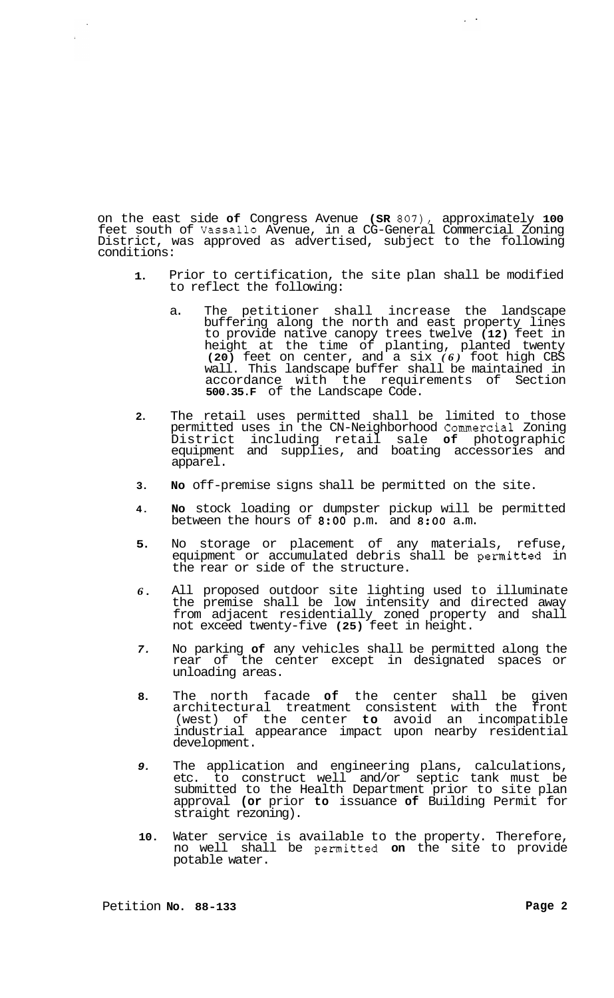on the east side **of** Congress Avenue **(SR** *807),* approximately **100**  feet south of Vassallo Avenue, in a CG-General Commercial Zoning District, was approved as advertised, subject to the following conditions:

- **1.**  Prior to certification, the site plan shall be modified to reflect the following:
	- a. The petitioner shall increase the landscape buffering along the north and east property lines to provide native canopy trees twelve **(12)** feet in height at the time of planting, planted twenty **(20)** feet on center, and a six *(6)* foot high CBS wall. This landscape buffer shall be maintained in accordance with the requirements of Section **500.35.F** of the Landscape Code.
- **2.**  The retail uses permitted shall be limited to those permitted uses in the CN-Neighborhood Commercial Zoning District including retail sale **of** photographic equipment and supplies, and boating accessories and apparel.
- **3. No** off-premise signs shall be permitted on the site.
- **4. No** stock loading or dumpster pickup will be permitted between the hours of **8:OO** p.m. and **8:OO** a.m.
- **5.**  No storage or placement of any materials, refuse, equipment or accumulated debris shall be permitted in the rear or side of the structure.
- *6.*  All proposed outdoor site lighting used to illuminate the premise shall be low intensity and directed away from adjacent residentially zoned property and shall not exceed twenty-five **(25)** feet in height.
- *7.*  No parking **of** any vehicles shall be permitted along the rear of the center except in designated spaces or unloading areas.
- **8.**  The north facade **of** the center shall be given architectural treatment consistent with the front (west) of the center **to** avoid an incompatible industrial appearance impact upon nearby residential development.
- *9.*  The application and engineering plans, calculations, etc. to construct well and/or septic tank must be submitted to the Health Department prior to site plan approval **(or** prior **to** issuance **of** Building Permit for straight rezoning).
- **10.**  Water service is available to the property. Therefore, no well shall be permitted **on** the site to provide potable water.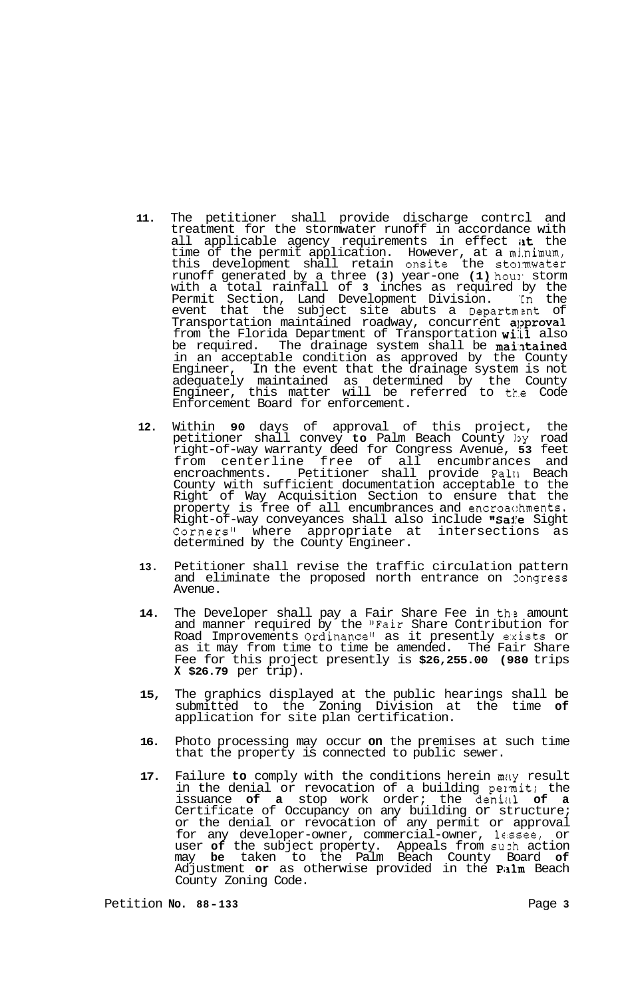- **11.** The petitioner shall provide discharge contrcl and treatment for the stormwater runoff in accordance with all applicable agency requirements in effect at the time of the permit application. However, at a minimum, this development shall retain onsite the stormwater runoff generated by a three (3) year-one (1) houl' storm with a total rainfall of **3** inches as required by the Permit Section, Land Development Division. 'In the event that the subject site abuts a Department of Transportation maintained roadway, concurrent approval from the Florida Department of Transportation will also be required. The drainage system shall be **maintained** in an acceptable condition as approved by the County Engineer, In the event that the drainage system is not adequately maintained as determined by the County Engineer, this matter will be referred to tt.e Code Enforcement Board for enforcement.
- **12.** Within **90** days of approval of this project, the petitioner shall convey **to** Palm Beach County 13y road right-of-way warranty deed for Congress Avenue, **53** feet from centerline free of all encumbrances and<br>encroachments. Petitioner shall provide Pall Beach Petitioner shall provide Pall1 Beach County with sufficient documentation acceptable to the Right of Way Acquisition Section to ensure that the property is free of all encumbrances and encroachments. Right-of-way conveyances shall also include "Saie Sight<br>Corners" where appropriate at intersections as Corners" where appropriate at determined by the County Engineer.
- **13.** Petitioner shall revise the traffic circulation pattern and eliminate the proposed north entrance on Zongress Avenue.
- **14.** The Developer shall pay a Fair Share Fee in ths amount and manner required by the "Fair Share Contribution for Road Improvements Ordinance" as it presently exists or as it may from time to time be amended. The Fair Share Fee for this project presently is **\$26,255.00 (980** trips **X \$26.79** per trip).
- **15,** The graphics displayed at the public hearings shall be submitted to the Zoning Division at the time **of**  application for site plan certification.
- **16.** Photo processing may occur **on** the premises at such time that the property is connected to public sewer.
- 17. Failure to comply with the conditions herein may result in the denial or revocation of a building pennit; the issuance of a stop work order; the denial of a Certificate of Occupancy on any building or structure; or the denial or revocation of any permit or approval for any developer-owner, commercial-owner, lc.ssee, or user **of** the subject property. Appeals from suzh action may **be** taken to the Palm Beach County Board **of**  Adjustment or as otherwise provided in the Palm Beach County Zoning Code.

Petition **No. 88-133** Page **3**